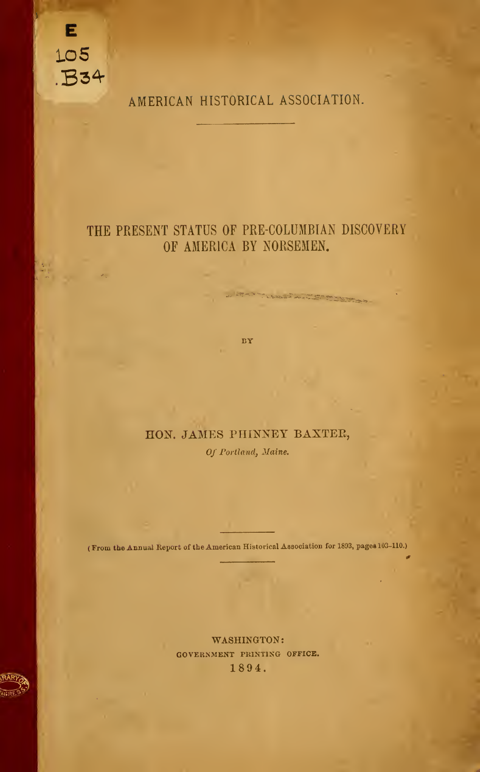$\frac{E}{105}$ .B34-

# AMERICAN HISTORICAL ASSOCIATION.

# THE PRESENT STATUS OF PRE-COLUMBIAN DISCOVERY OF AMERICA BY NORSEMEN.

'-"^^'SSS'^S^iiJ^r.-^-

# HON. JAMES PHINNEY BAXTER,

**BY** 

Of Portland, Maine.

( From the Annual Report of the American Historical Association for 1893, pages 103-110.)

WASHINGTON: GOVEBNMENT PKINTING OFFICE. 1894.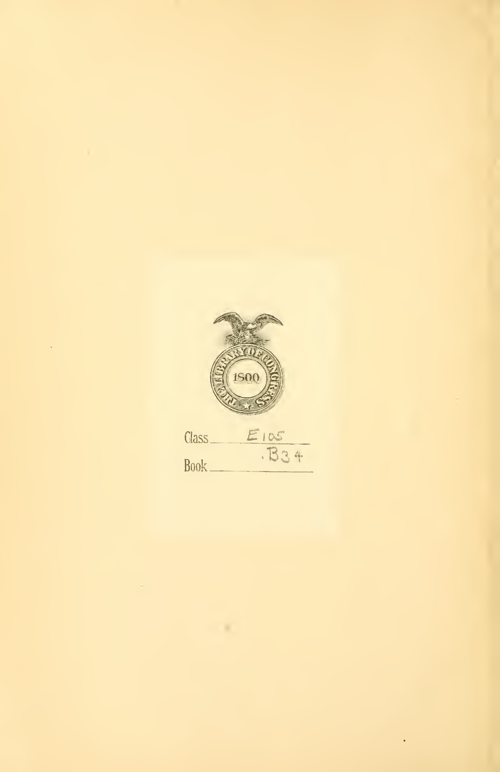

 $\sim$ 

k,

Ŷ,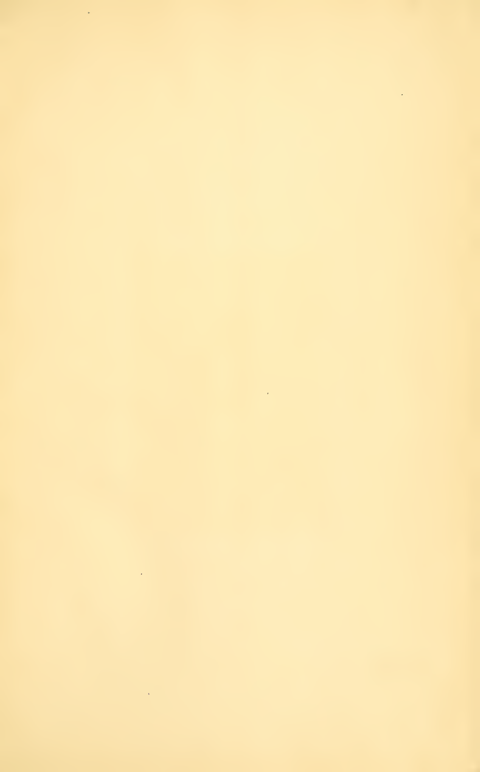Ŷ,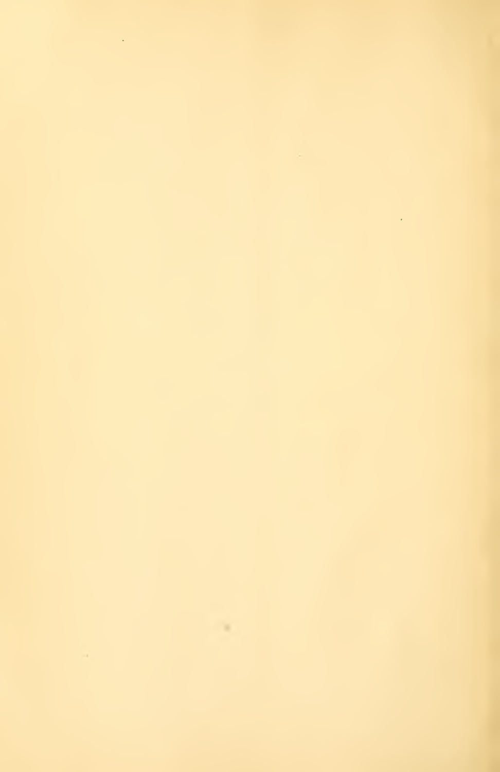$\mathcal{L}_{\text{max}}$  ,  $\mathcal{L}_{\text{max}}$ 

 $\mathcal{L}^{\text{max}}_{\text{max}}$  , where  $\mathcal{L}^{\text{max}}_{\text{max}}$ 

 $\sim 10^{-10}$  km  $^{-1}$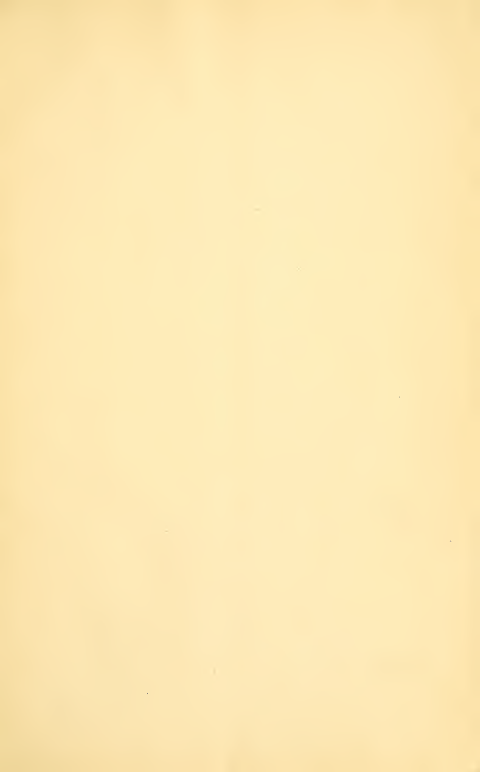$\label{eq:2.1} \frac{1}{2} \left( \frac{1}{2} \left( \frac{1}{2} \right) \left( \frac{1}{2} \right) \left( \frac{1}{2} \right) \left( \frac{1}{2} \right) \left( \frac{1}{2} \right) \left( \frac{1}{2} \right) \left( \frac{1}{2} \right) \left( \frac{1}{2} \right) \left( \frac{1}{2} \right) \left( \frac{1}{2} \right) \left( \frac{1}{2} \right) \left( \frac{1}{2} \right) \left( \frac{1}{2} \right) \left( \frac{1}{2} \right) \left( \frac{1}{2} \right$  $\mathcal{L}^{\mathcal{L}}(\mathcal{L}^{\mathcal{L}}(\mathcal{L}^{\mathcal{L}}(\mathcal{L}^{\mathcal{L}})))$ 

 $\mathcal{L}^{\text{max}}_{\text{max}}$  , where  $\mathcal{L}^{\text{max}}_{\text{max}}$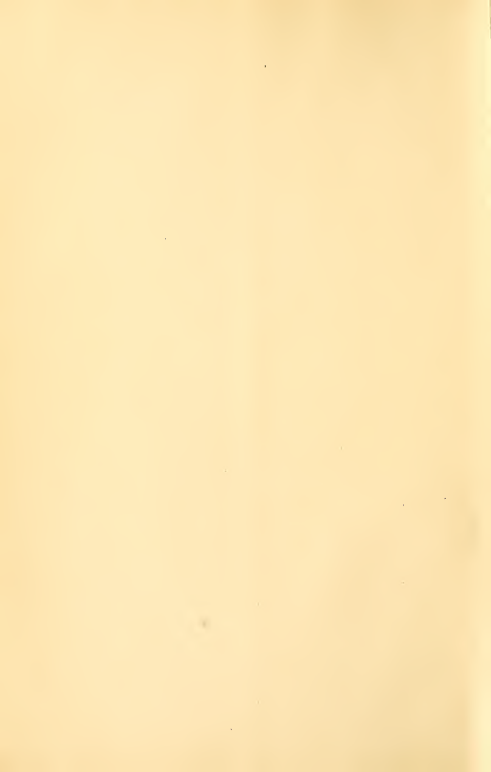$\mathcal{L}^{\text{max}}_{\text{max}}$  and  $\mathcal{L}^{\text{max}}_{\text{max}}$ 

**人名** 人名

 $\sim 100$ 

 $\sim 10^{10}$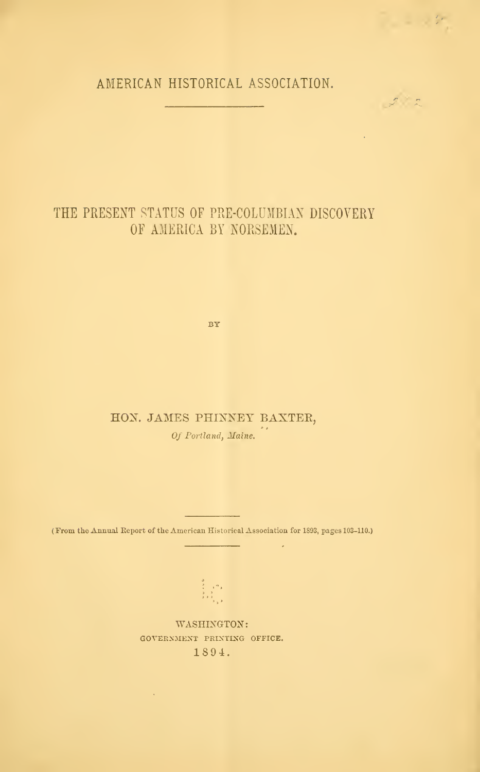$\label{eq:2.1} \frac{d^2\mathbf{r}}{d\mathbf{r}} = \frac{d^2\mathbf{r}}{d\mathbf{r}}$ 

 $\mathcal{Z}$ 

÷.

# THE PRESENT STATUS OF PRE-COLUMBIAN DISCOVERY OF AMERICA BY NORSEMEN.

BY

HON. JAMES PHINNEY BAXTER, Of Portland, Maine.

( From the Annual Keport of the American Historical Association for 1893, pages 103-110.)

l,

 $\begin{bmatrix} 2 & & & & & \\ 2 & & & & & \\ 3 & & 3 & & & \\ 2 & & 3 & & & \\ 2 & & 2 & & & \\ \end{bmatrix}$ 

WASHINGTON: GOVERNMENT PRINTING OFFICE. 1894.

 $\sim 10^7$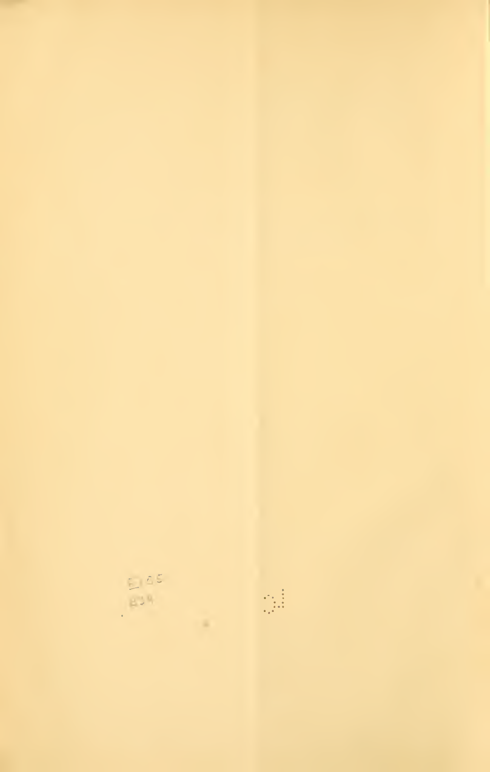



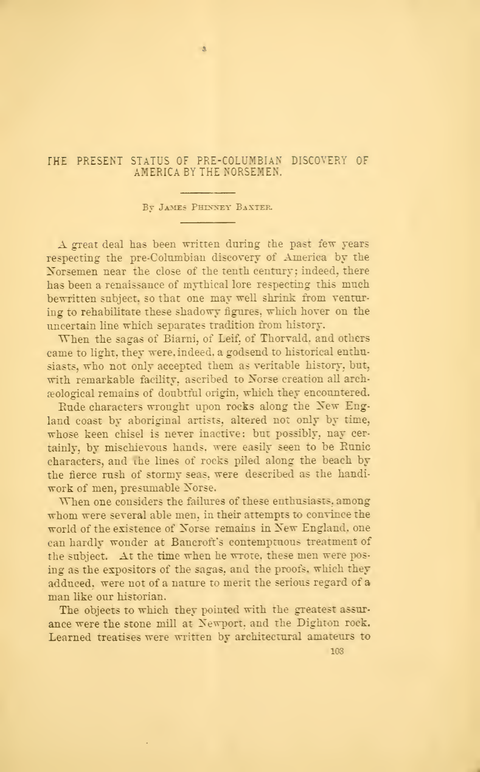## THE PRESENT STATUS OF PRE-COLUMBIAN DISCOVERY OF AMERICA BY THE NORSEMEN.

 $\mathbf{A}$ 

#### BY JAMES PHINNEY BAXTER.

A great deal has been written during the past few years respecting the pre-Colnmbiau discovery of America by the Norsemen near the close of the tenth century : indeed, there has been a renaissance of mythical lore respecting this much bewritten subject, so that one may well shrink from yenturing to rehabilitate these shadowy figures, which hover on the uncertain line which separates tradition from history.

When the sagas of Biarni, of Leif, of Thorvald, and others came to light, they were, indeed, a godsend to historical enthusiasts, who not only accepted them as veritable history, but, with remarkable facility, ascribed to Norse creation all archaeological remains of doubtful origin, which they encountered.

Rude characters wrought upon rocks along the New England coast by aboriginal artists, altered not only by time, whose keen chisel is never inactive: but possibly, nay cer tainly, by mischievous hands, were easily seen to be Eunic characters, and the lines of rocks piled along the beach by the fierce rush of stormy seas, were described as the handiwork of men, presumable Norse.

When one considers the failures of these enthusiasts, among whom were several able men, in their attempts to convince the world of the existence of Xorse remains in ^ew England, one can hardly wonder at Bancroft's contemptuous treatment of the subject. At the time when he wrote, these men were pos ing as the expositors of the sagas, and the proofs, which they adduced, were not of a nature to merit the serious regard of a man like our historian.

The objects to which they pointed with the greatest assurance were the stone mill at Newport, and the Dighton rock. Learned treatises were written by architectural amateurs to

103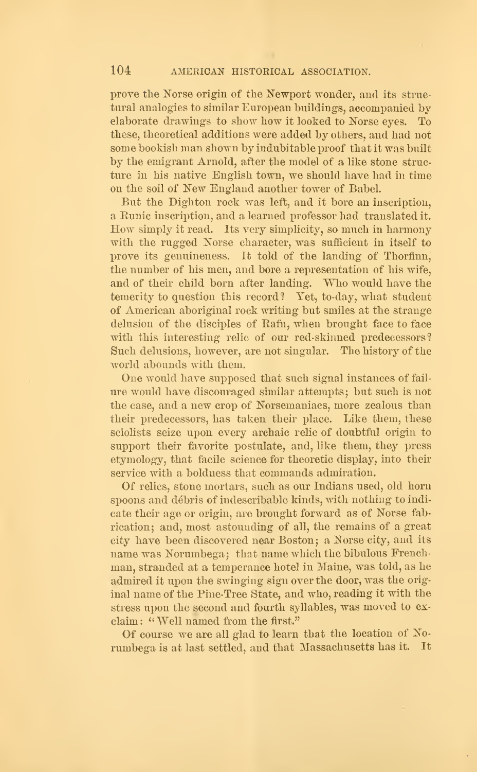prove the Norse origin of the Newport wonder, and its struc tural analogies to similar European buildings, accompanied by elaborate drawings to show how it looked to Norse eyes. To these, theoretical additions were added by others, and had not some bookish man shown by indubitable proof that it was built by the emigrant Arnold, after the model of a like stone struc ture in his native English town, we should have had in time on the soil of New England another tower of Babel.

But the Dighton rock was left, and it bore an inscription, a Eunic inscription, and a learned professor had translated it. How simply it read. Its very simplicity, so much in harmony with the rugged Norse character, was sufficient in itself to prove its genuineness. It told of the landing of Thorfinn, the number of his men, and bore a representation of his wife, and of their child born after landing. Who would have the temerity to question this record? Yet, to-day, what student of American aboriginal rock writing but smiles at the strange delusion of the disciples of Eafn, when brought face to face with this interesting relic of our red-skinned predecessors? Such delusions, however, are not singular. The history of the world abounds with them.

One would have supposed that such signal instances of fail ure would have discouraged similar attempts ; but such is not the case, and a new crop of Norsemaniacs, more zealous than their predecessors, has taken their place. Like them, these sciolists seize upon every archaic relic of doubtful origin to support their favorite postulate, and, like them, they press etymology, that facile science for theoretic display, into their service with a boldness that commands admiration.

Of relics, stone mortars, such as our Indians used, old horn spoons and debris of indescribable kinds, with nothing to indi cate their age or origin, are brought forward as of Norse fab rication; and, most astounding of all, the remains of a great city have been discovered near Boston; a Norse city, and its name was Norumbega; that name which the bibulous Frenchman, stranded at a temperance hotel in Maine, was told, as he admired it upon the swinging sign over the door, was the original name of the Pine-Tree State, and who, reading it with the stress upon the second and fourth syllables, was moved to ex claim: "Well named from the first."

Of course we are all glad to learn that the location of Norumbega is at last settled, and that Massachusetts has it. It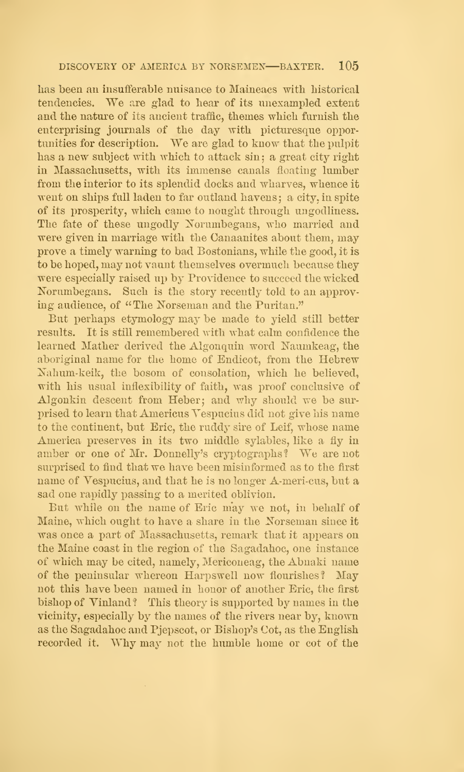## DISCOVERY OF AMERICA BY NORSEMEN—BAXTER.  $105$

lias been an insufferable nuisance to Maineaes with historical tendencies. We are glad to hear of its unexampled extent and the nature of its ancient traffic, themes which furnish the enterprising journals of the day with picturesque opportunities for description. We are glad to know that the pulpit has a new subject with which to attack sin; a great city right in Massachusetts, with its immense canals floating lumber from the interior to its splendid docks and wharves, whence itwent on ships full laden to far outland havens; a city, in spite of its prosperity, which came to nought through ungodliness. The fate of these ungodly Norumbegans, who married and were given in marriage with the Canaanites about them, may prove a timely warning to bad Bostonians, while the good, it is to be hoped, may not vaunt themselves overmucli because they were especially raised up by Providence to succeed the wicked Norumbegans. Such is the story recently told to an approving audience, of "The Norseman and the Puritan."

But perhaps etymology may be made to yield still better results. It is still remembered with what calm confidence the learned Mather derived the Algonquin word Naumkeag, the aboriginal name for the home of Endicot, from the Hebrew Nahum-keik, the bosom of consolation, which he believed, with his usual inflexibility of faith, was proof conclusive of Algonkin descent from Heber; and why should we be sur prised to learn that Americus Vespucius did not give his name to the continent, but Eric, the ruddy sire of Leif, whose name America preserves in its two middle sylables, like a fly in amber or one of Mr. Donnelly's cryptographs'? We are not surprised to find that we have been misinformed as to the first name of Vespucius, and that he is no longer A-meri-cus, but a sad one rapidly passing to a merited oblivion.

But while on the name of Eric may we not, in behalf of Maine, which ought to have a share in the Norseman since it was once a part of Massachusetts, remark that it appears on the Maine coast in the region of the Sagadahoc, one instance of which may be cited, namely, Mericoneag, the Abnaki name of the peninsular whereon Harpswell now flourishes? May not this have been named in honor of another Eric, the first bishop of Vinland? This theory is supported by names in the vicinity, especially by the names of the rivers near by, known as the Sagadahoc and Pjepscot, or Bishop's Cot, as the English recorded it. Why may not the humble home or cot of the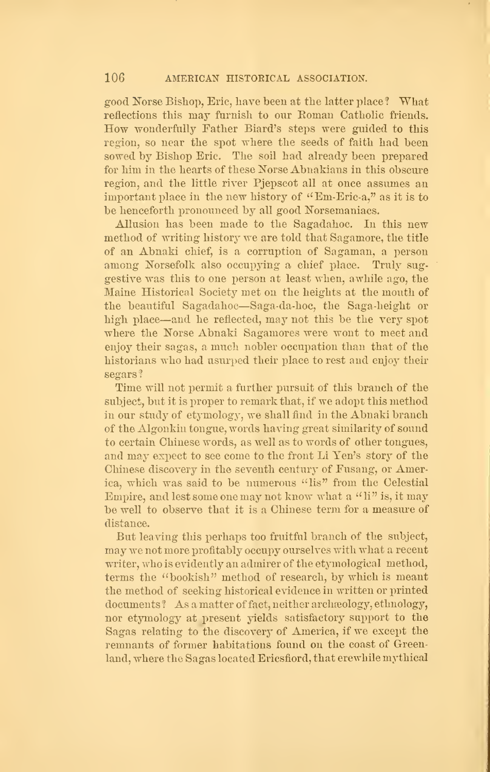good Norse Bishop, Eric, have been at the latter place? What reflections this may furnish to our Eoman Catholic friends. How wonderfully Father Biard's steps were guided to this region, so near the spot where the seeds of faith had been sowed by Bishop Eric. The soil had already been prepared for him in the hearts of these Norse Abnakians in this obscure region, and the little river Pjepscot all at once assumes an important place in the new history of "Em-Eric-a," as it is to be henceforth pronounced by all good Norsemaniacs.

Allusion has been made to the Sagadahoc. In this new method of writing history we are told that Sagamore, the title of an Abnaki chief, is a corruption of Sagaman, a person among Norsefolk also occupying a chief place. Truly sug gestive was this to one person at least when, awhile ago, the Maine Historical Society met on the heights at the month of the beautiful Sagadahoc—Saga-da-hoc, the Saga-height or high place—and he reflected, may not this be the very spot where the Norse Abnaki Sagamores were wont to meet and enjoy their sagas, a much nobler occupation than that of the historians who had usurped their place to rest and enjoy their segars?

Time will not permit a further pursuit of this branch of the subject, but it is proper to remark that, if we adopt this method in our study of etymology, we shall find in the Abnaki branch of the Algonkin tongue, words having great similarity of sound to certain Chinese words, as well as to words of other tongues, and may expect to see come to the front Li Yen's story of the Chinese discovery in the seventh century of Fusang, or America, which was said to be numerous "lis" from the Celestial Empire, and lest some one may not know what a "li" is, it may be well to observe that it is a Chinese term for a measure of distance.

But leaving this perhaps too fruitful branch of the subject, may we not more profitably occupy ourselves with what a recent writer, who is evidently an admirer of the etymological method, terms the "bookish" method of research, by which is meant the method of seeking historical evidence in written or printed documents ? As a matter of fact, neither archaeology, ethnology, nor etymology at present yields satisfactory support to the Sagas relating to the discovery of America, if we except the remnants of former habitations found on the coast of Greenland, where the Sagas located Ericsfiord, that erewhile mythical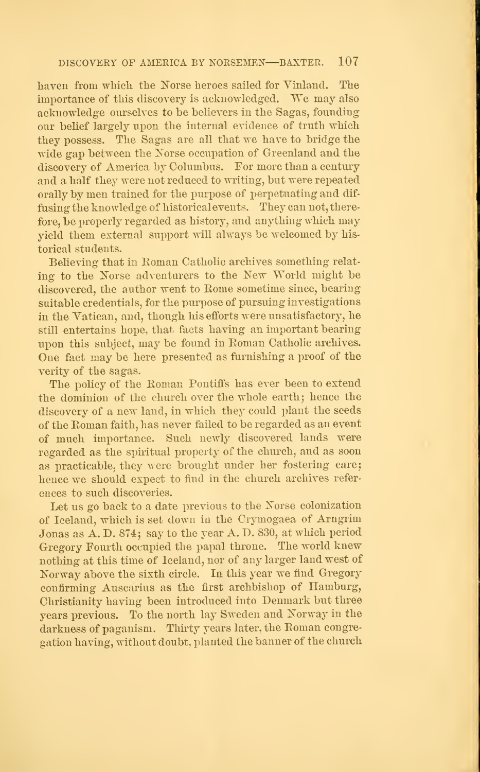haven from which the Norse heroes sailed for Vinland. The importance of this discovery is acknowledged. We may also acknowledge ourselves to be believers in the Sagas, founding our belief largely upon the internal evidence of truth which they possess. The Sagas are all that we have to bridge the wide gap between the Korse occupation of Greenland and the discovery of America by Columbus. For more than a century and a half they were not reduced to writing, but were repeated orally by men trained for the purpose of perpetuating and diffusing the knowledge of historical events. They can not, therefore, be properly regarded as history, and anything which may yield them external support will always be welcomed by his torical students.

Believing that in Eoman Catholic archives something relat ing to the Norse adventurers to the New World might be discovered, the author went to Eome sometime since, bearing suitable credentials, for the purpose of pursuing investigations in the Vatican, and, though his efforts were unsatisfactory, he still entertains hope, that facts having an important bearing upon this subject, may be found in Eoman Catholic archives. One fact may be here presented as furnishing a proof of the verity of the sagas.

The policy of the Roman Pontiffs has ever been to extend the dominion of the church over the whole earth; hence the discovery of a new land, in which they could plant the seeds of the Eoman faith, has never failed to be regarded as an event of much importance. Such newly discovered lands were regarded as the spiritual property of the church, and as soon as practicable, they were brought under her fostering care; hence we should expect to find in the church archives refer ences to such discoveries.

Let us go back to a date previous to the Norse colonization of Iceland, which is set down in the Crymogaea of Arngrim Jonas as A. D. 874; say to the year A. D. 830, at which period Gregory Fourth occupied the papal throne. The world knew nothing at this time of Iceland, nor of any larger land west of Norway above the sixth circle. In this year we find Gregory confirming Auscarius as the first archbishop of Hamburg, Christianity having been introduced into Denmark but three years previous. To the north lay Sweden and Norway in the darkness of paganism. Thirty years later, the Eoman congregation having, without doubt, planted the banner of the church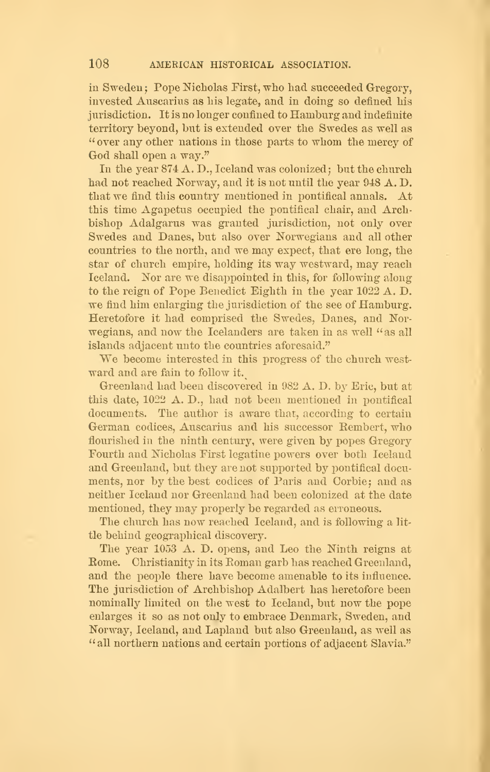in Sweden; Pope Nicholas First, who had succeeded Gregory, invested Auscarius as his legate, and in doing so defined his jurisdiction. It is no longer confined to Hamburg and indefinite territory beyond, but is extended over the Swedes as well as " over any other nations in those parts to whom the mercy of God shall open a way."

In the year 874 A. D., Iceland was colonized; but the church had not reached Norway, and it is not until the year 948 A. D. that we find this country mentioned in pontifical annals. At this time Agapetus occupied the pontifical chair, and Archbishop Adalgarus was granted jurisdiction, not only over Swedes and Danes, but also over Norwegians and all other countries to the north, and we may expect, that ere long, the star of church empire, holding its way westward, may reach Iceland. Nor are we disappointed in this, for following along to the reign of Pope Benedict Eighth in the year 1022 A. D. we find him enlarging the jurisdiction of the see of Hamburg. Heretofore it had comprised the Swedes, Danes, and Norwegians, and now the Icelanders are taken in as well "as all islands adjacent unto the countries aforesaid."

We become interested in this progress of the church west ward and are fain to follow it.

Greenland had been discovered in 982 A. D. by Eric, but at this date, 1022 A. D., had not been mentioned in pontifical documents. The author is aware that, according to certain German codices, Auscarius and his successor Eembert, who flourished in the ninth century, were given by popes Gregory Fourth and Nicholas First legatine powers over both Iceland and Greenland, but they are not supported by pontifical documents, nor by the best codices of Paris and Corbie; and as neither Iceland nor Greenland had been colonized at the date mentioned, they may properly be regarded as erroneous.

The church has now reached Iceland, and is following a lit tle behind geographical discovery.

The year 1053 A. D. opens, and Leo the Ninth reigns at Eome. Christianity in its Eoman garb has reached Greenland, and the people there have become amenable to its influence. The jurisdiction of Archbishop Adalbert has heretofore been nominally limited on the west to Iceland, but now the pope enlarges it so as not only to embrace Denmark, Sweden, and Norway, Iceland, and Lapland but also Greenland, as well as " all northern nations and certain portions of adjacent Slavia."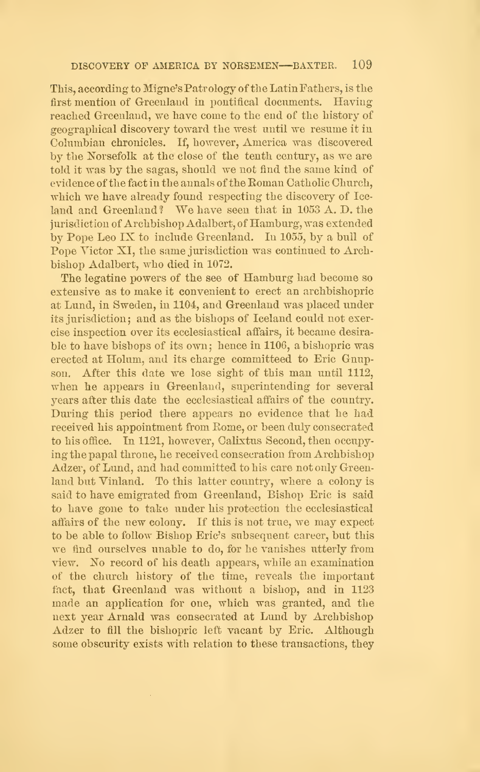## DISCOVERY OF AMERICA BY NORSEMEN-BAXTER. 109

This, according to Migne'sPatrology of the Latin Fathers, is the first mention of Greenland in pontifical documents. Having reached Greenland, we have come to the end of the history of geographical discovery toward the west until we resume it in Columbian chronicles. If, however, America was discovered by the Norsefolk at the close of the tenth century, as we are told it was by the sagas, should we not find the same kind of evidence of the fact in the annals of the Eoman Catholic Church, which we have already found respecting the discovery of Ice land and Greenland? We have seen that in <sup>1053</sup> A. D. the jurisdiction of Archbishop Adalbert, of Hamburg, was extended by Pope Leo IX to include Greenland. In 1055, by a bull of Pope Victor XI, the same jurisdiction was continued to Archbishop Adalbert, who died in 1072.

The legatine powers of the see of Hamburg had become so extensive as to make it convenient to erect an archbishopric at Lund, in Sweden, in 1104, and Greenland was placed under its jurisdiction ; and as the bishops of Iceland could not exercise inspection over its ecclesiastical affairs, it became desirable to have bishops of its own; hence in 1106, a bishopric was erected at Holum, and its charge committeed to Eric Gnupson. After this date we lose sight of this man until 1112, when he appears in Greenland, superintending for several years after this date the ecclesiastical affairs of the country. During this period there appears no evidence that he had received his appointment from Rome, or been duly consecrated to his office. In 1121, however, Oalixtus Second, then occupying the papal throne, he received consecration from Archbishop Adzer, of Lund, and had committed to his care not only Greenland but Vinland. To this latter country, where a colony is said to have emigrated from Greenland, Bishop Eric is said to have gone to take under his protection the ecclesiastical affairs of the new colony. If this is not true, we may expect to be able to follow Bishop Eric's subsequent career, but this we find ourselves unable to do, for he vanishes utterly from view. Xo record of his death appears, while an examination of the church history of the time, reveals the important fact, that Greenland was without a bishop, and in 1123 made an application for one, which was granted, and the next year Arnald was consecrated at Lund by Archbishop Adzer to fill the bishopric left vacant by Eric. Although some obscurity exists with relation to these transactions, they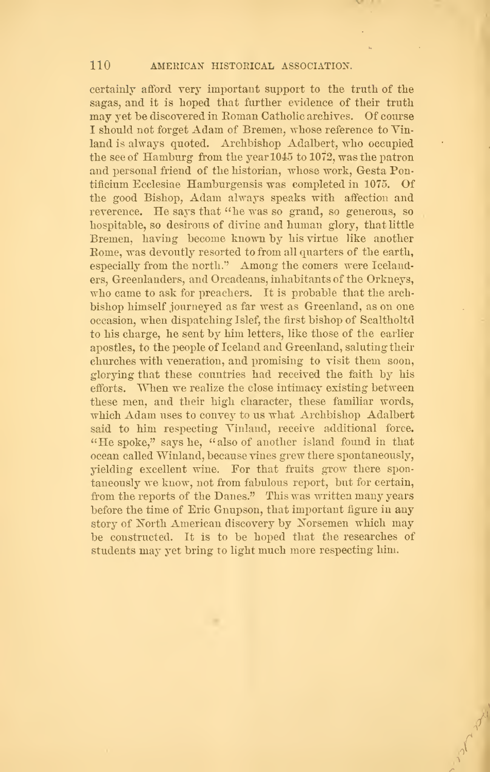certainly afford very important support to the truth of the sagas, and it is hoped that further evidence of their truth may yet be discovered in Eoman Catholic archives. Of course <sup>I</sup> should not forget Adam of Bremen, whose reference to Vinland is always quoted. Archbishop Adalbert, who occupied the see of Hamburg from the year 1045 to 1072, was the patron and personal friend of the historian, whose work, Gesta Pontificium Ecclesiae Hamburgensis was completed in 1075. Of the good Bishop, Adam always speaks with affection and reverence. He says that "he was so grand, so generous, so hospitable, so desirous of divine and human glory, that little Bremen, having become known by his virtue like another Eome, was devoutly resorted to from all quarters of the earth, especially from the north." Among the comers were Icelanders, Greenlanders, and Orcadeans, inhabitants of the Orkneys, who came to ask for preachers. It is probable that the archbishop himself journeyed as far west as Greenland, as on one occasion, when dispatching Islef, the first bishop of Scaltholtd to his charge, he sent by him letters, like those of the earlier apostles, to the people of Iceland and Greenland, saluting their churches with veneration, and promising to visit them soon, glorying that these countries had received the faith by his efforts. When we realize the close intimacy existing between these men, and their high character, these familiar words, which Adam uses to convey to us what Archbishop Adalbert said to him respecting Yinland, receive additional force. "He spoke," says he, "also of another island found in that ocean called Winland, because vines grew there spontaneously, yielding excellent wine. For that fruits grow there spon taneously we know, not from fabulous report, but for certain, from the reports of the Danes," This was written many years before the time of Eric Gnupson, that important figure in any story of North American discovery by Norsemen which may be constructed. It is to be hoped that the researches of students may yet bring to light much more respecting him.

 $\sqrt{ }$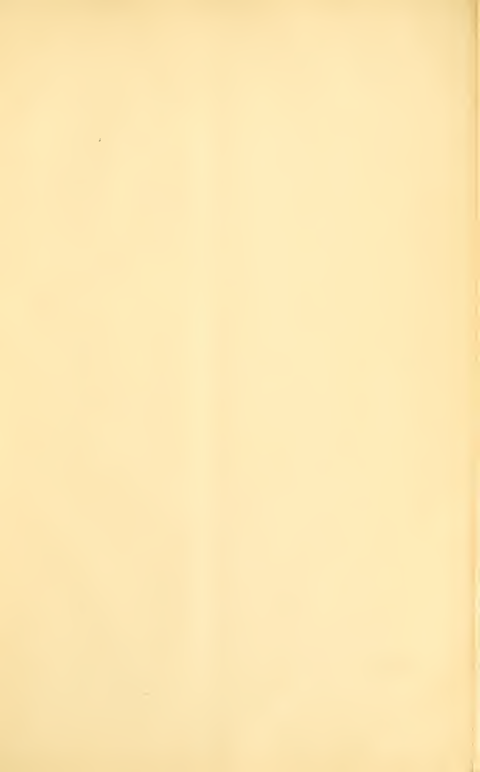$\label{eq:2} \frac{1}{2}\int_{\mathbb{R}^3}\left(\frac{1}{2}\left(\frac{1}{2}\right)^2\right)^2\left(\frac{1}{2}\right)^2\left(\frac{1}{2}\right)^2\left(\frac{1}{2}\right)^2\left(\frac{1}{2}\right)^2\left(\frac{1}{2}\right)^2.$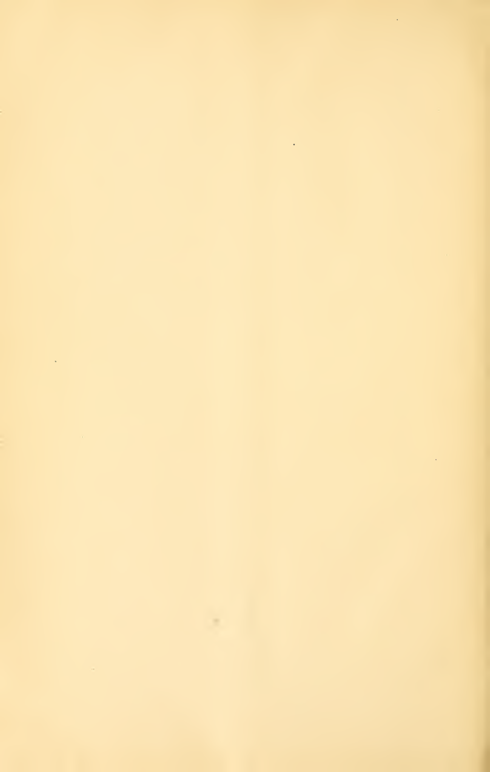$\mathcal{A}(\mathcal{A})$  and  $\mathcal{A}(\mathcal{A})$ 

**Contract Contract Contract** 

 $\mathcal{A}_{\mathcal{A}}$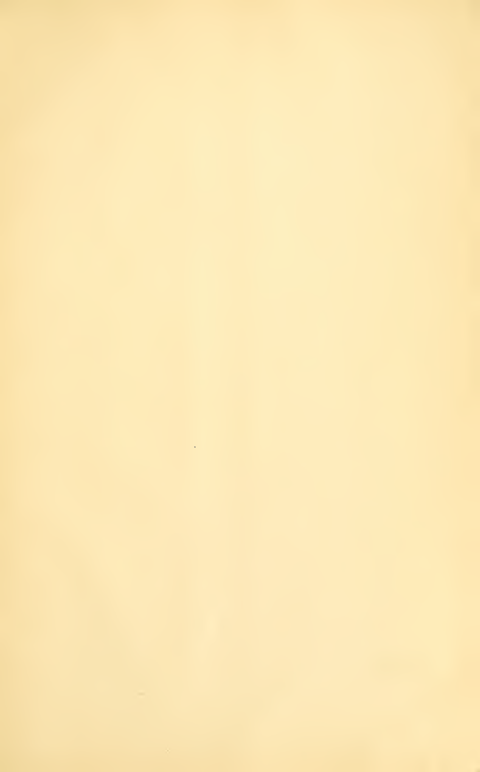$\sim 1000$  km s  $^{-1}$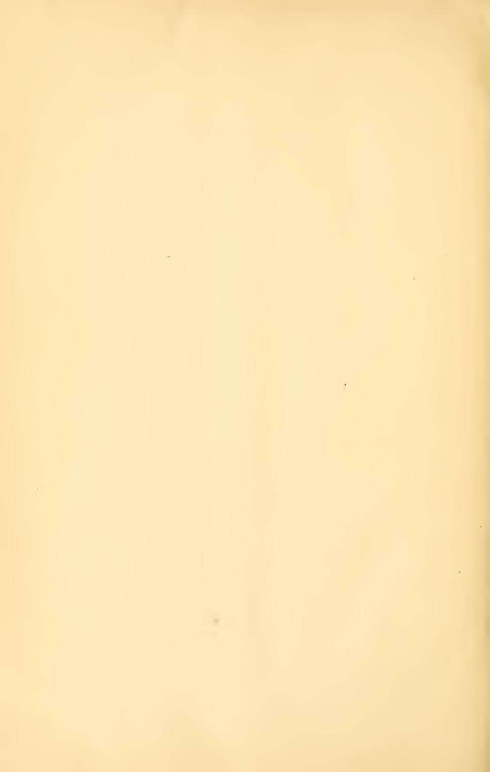$\mathcal{L}^{\text{max}}_{\text{max}}$  $\mathcal{L}_{\text{max}}$  ,  $\mathcal{L}_{\text{max}}$ **Contract Contract**  $\sim 10$ 

the company of the

 $\mathcal{A}_{\mathcal{A}}$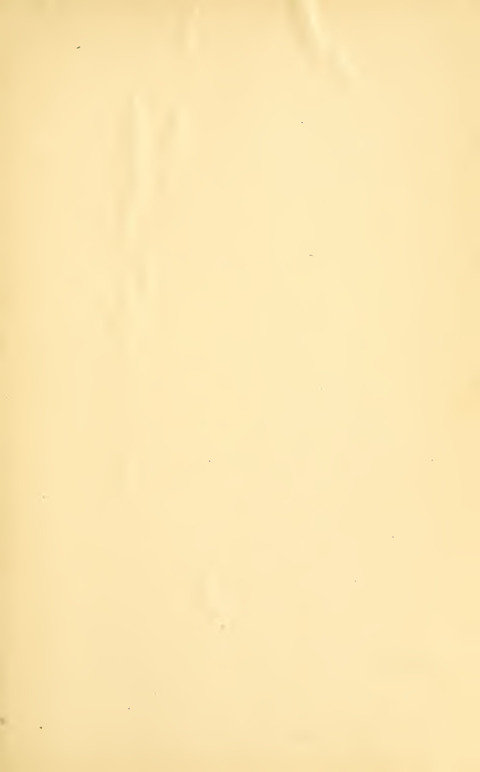